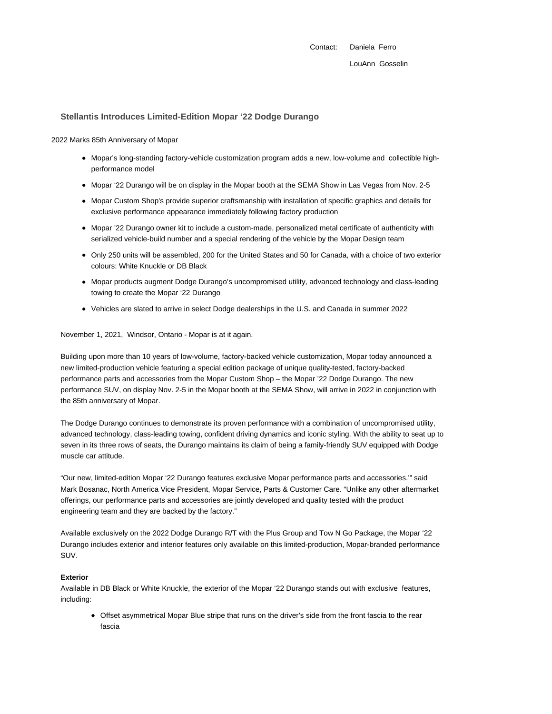Contact: Daniela Ferro LouAnn Gosselin

# **Stellantis Introduces Limited-Edition Mopar '22 Dodge Durango**

2022 Marks 85th Anniversary of Mopar

- Mopar's long-standing factory-vehicle customization program adds a new, low-volume and collectible highperformance model
- Mopar '22 Durango will be on display in the Mopar booth at the SEMA Show in Las Vegas from Nov. 2-5
- Mopar Custom Shop's provide superior craftsmanship with installation of specific graphics and details for exclusive performance appearance immediately following factory production
- Mopar '22 Durango owner kit to include a custom-made, personalized metal certificate of authenticity with serialized vehicle-build number and a special rendering of the vehicle by the Mopar Design team
- Only 250 units will be assembled, 200 for the United States and 50 for Canada, with a choice of two exterior colours: White Knuckle or DB Black
- Mopar products augment Dodge Durango's uncompromised utility, advanced technology and class-leading towing to create the Mopar '22 Durango
- Vehicles are slated to arrive in select Dodge dealerships in the U.S. and Canada in summer 2022

November 1, 2021, Windsor, Ontario - Mopar is at it again.

Building upon more than 10 years of low-volume, factory-backed vehicle customization, Mopar today announced a new limited-production vehicle featuring a special edition package of unique quality-tested, factory-backed performance parts and accessories from the Mopar Custom Shop – the Mopar '22 Dodge Durango. The new performance SUV, on display Nov. 2-5 in the Mopar booth at the SEMA Show, will arrive in 2022 in conjunction with the 85th anniversary of Mopar.

The Dodge Durango continues to demonstrate its proven performance with a combination of uncompromised utility, advanced technology, class-leading towing, confident driving dynamics and iconic styling. With the ability to seat up to seven in its three rows of seats, the Durango maintains its claim of being a family-friendly SUV equipped with Dodge muscle car attitude.

"Our new, limited-edition Mopar '22 Durango features exclusive Mopar performance parts and accessories.'" said Mark Bosanac, North America Vice President, Mopar Service, Parts & Customer Care. "Unlike any other aftermarket offerings, our performance parts and accessories are jointly developed and quality tested with the product engineering team and they are backed by the factory."

Available exclusively on the 2022 Dodge Durango R/T with the Plus Group and Tow N Go Package, the Mopar '22 Durango includes exterior and interior features only available on this limited-production, Mopar-branded performance SUV.

## **Exterior**

Available in DB Black or White Knuckle, the exterior of the Mopar '22 Durango stands out with exclusive features, including:

Offset asymmetrical Mopar Blue stripe that runs on the driver's side from the front fascia to the rear fascia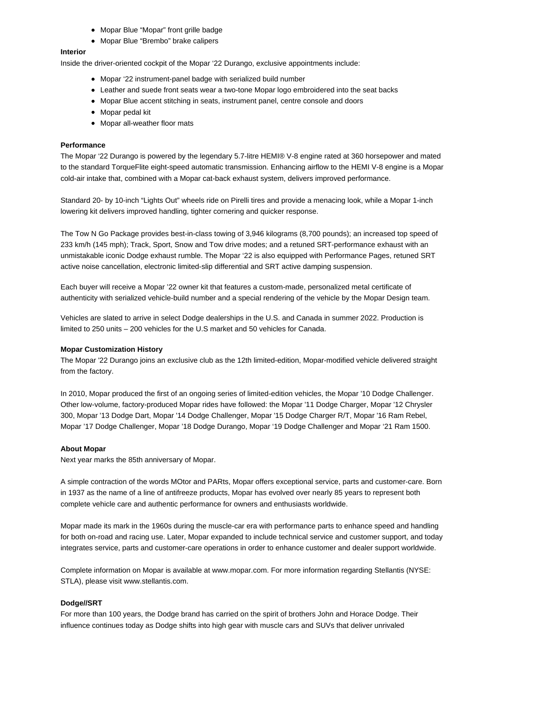- Mopar Blue "Mopar" front grille badge
- Mopar Blue "Brembo" brake calipers

# **Interior**

Inside the driver-oriented cockpit of the Mopar '22 Durango, exclusive appointments include:

- Mopar '22 instrument-panel badge with serialized build number
- Leather and suede front seats wear a two-tone Mopar logo embroidered into the seat backs
- Mopar Blue accent stitching in seats, instrument panel, centre console and doors
- Mopar pedal kit
- Mopar all-weather floor mats

### **Performance**

The Mopar '22 Durango is powered by the legendary 5.7-litre HEMI® V-8 engine rated at 360 horsepower and mated to the standard TorqueFlite eight-speed automatic transmission. Enhancing airflow to the HEMI V-8 engine is a Mopar cold-air intake that, combined with a Mopar cat-back exhaust system, delivers improved performance.

Standard 20- by 10-inch "Lights Out" wheels ride on Pirelli tires and provide a menacing look, while a Mopar 1-inch lowering kit delivers improved handling, tighter cornering and quicker response.

The Tow N Go Package provides best-in-class towing of 3,946 kilograms (8,700 pounds); an increased top speed of 233 km/h (145 mph); Track, Sport, Snow and Tow drive modes; and a retuned SRT-performance exhaust with an unmistakable iconic Dodge exhaust rumble. The Mopar '22 is also equipped with Performance Pages, retuned SRT active noise cancellation, electronic limited-slip differential and SRT active damping suspension.

Each buyer will receive a Mopar '22 owner kit that features a custom-made, personalized metal certificate of authenticity with serialized vehicle-build number and a special rendering of the vehicle by the Mopar Design team.

Vehicles are slated to arrive in select Dodge dealerships in the U.S. and Canada in summer 2022. Production is limited to 250 units – 200 vehicles for the U.S market and 50 vehicles for Canada.

#### **Mopar Customization History**

The Mopar '22 Durango joins an exclusive club as the 12th limited-edition, Mopar-modified vehicle delivered straight from the factory.

In 2010, Mopar produced the first of an ongoing series of limited-edition vehicles, the Mopar '10 Dodge Challenger. Other low-volume, factory-produced Mopar rides have followed: the Mopar '11 Dodge Charger, Mopar '12 Chrysler 300, Mopar '13 Dodge Dart, Mopar '14 Dodge Challenger, Mopar '15 Dodge Charger R/T, Mopar '16 Ram Rebel, Mopar '17 Dodge Challenger, Mopar '18 Dodge Durango, Mopar '19 Dodge Challenger and Mopar '21 Ram 1500.

### **About Mopar**

Next year marks the 85th anniversary of Mopar.

A simple contraction of the words MOtor and PARts, Mopar offers exceptional service, parts and customer-care. Born in 1937 as the name of a line of antifreeze products, Mopar has evolved over nearly 85 years to represent both complete vehicle care and authentic performance for owners and enthusiasts worldwide.

Mopar made its mark in the 1960s during the muscle-car era with performance parts to enhance speed and handling for both on-road and racing use. Later, Mopar expanded to include technical service and customer support, and today integrates service, parts and customer-care operations in order to enhance customer and dealer support worldwide.

Complete information on Mopar is available at www.mopar.com. For more information regarding Stellantis (NYSE: STLA), please visit www.stellantis.com.

#### **Dodge//SRT**

For more than 100 years, the Dodge brand has carried on the spirit of brothers John and Horace Dodge. Their influence continues today as Dodge shifts into high gear with muscle cars and SUVs that deliver unrivaled